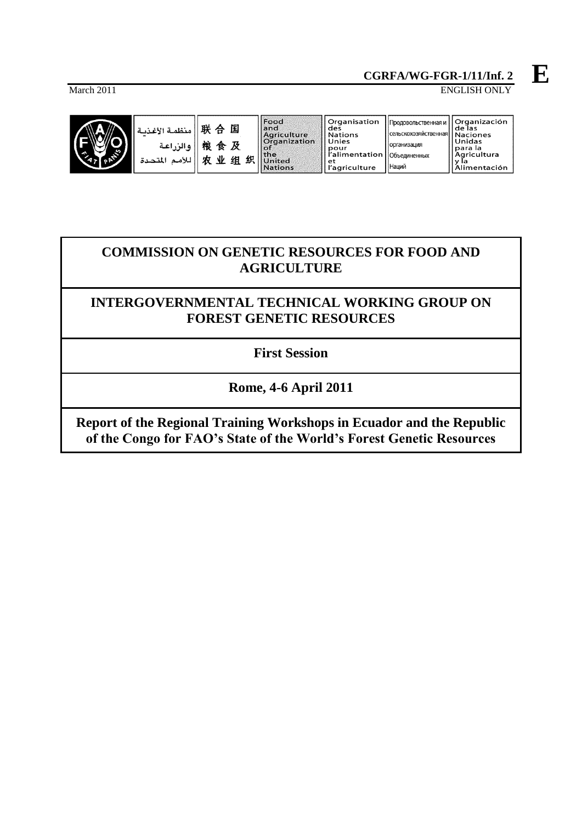# March 2011 ENGLISH ONLY



|       | Food                        |
|-------|-----------------------------|
|       | and                         |
|       |                             |
|       | Agriculture<br>Organization |
|       | оf                          |
|       | the                         |
| ֚֚֟֓֕ | <b>United</b>               |
|       | <b>Nations</b>              |
|       |                             |

| Organisation<br>des           | Продовольственная и     Organización | de las            |
|-------------------------------|--------------------------------------|-------------------|
| <b>Nations</b>                | сельскохозяйственная   Naciones      |                   |
| Unies<br>pour                 | организация                          | Unidas<br>para la |
| l'alimentation   Объединенных |                                      | Agricultura       |
| еt<br>l'agriculture           | Наций                                | Alimentación      |

as<br>iones ၊ဗိnes<br>las<br>cultura y ia<br>Alimentación

# **COMMISSION ON GENETIC RESOURCES FOR FOOD AND AGRICULTURE**

# **INTERGOVERNMENTAL TECHNICAL WORKING GROUP ON FOREST GENETIC RESOURCES**

**First Session**

**Rome, 4-6 April 2011**

**Report of the Regional Training Workshops in Ecuador and the Republic of the Congo for FAO's State of the World's Forest Genetic Resources**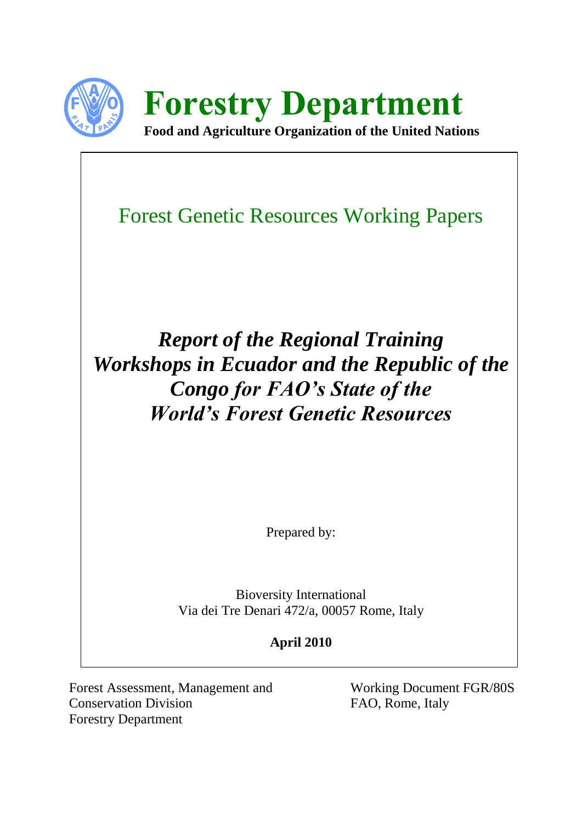

**Forestry Department Food and Agriculture Organization of the United Nations**

Forest Genetic Resources Working Papers

*Report of the Regional Training Workshops in Ecuador and the Republic of the Congo for FAO's State of the World's Forest Genetic Resources*

Prepared by:

Bioversity International Via dei Tre Denari 472/a, 00057 Rome, Italy

# **April 2010**

Forest Assessment, Management and Working Document FGR/80S Conservation Division FAO, Rome, Italy Forestry Department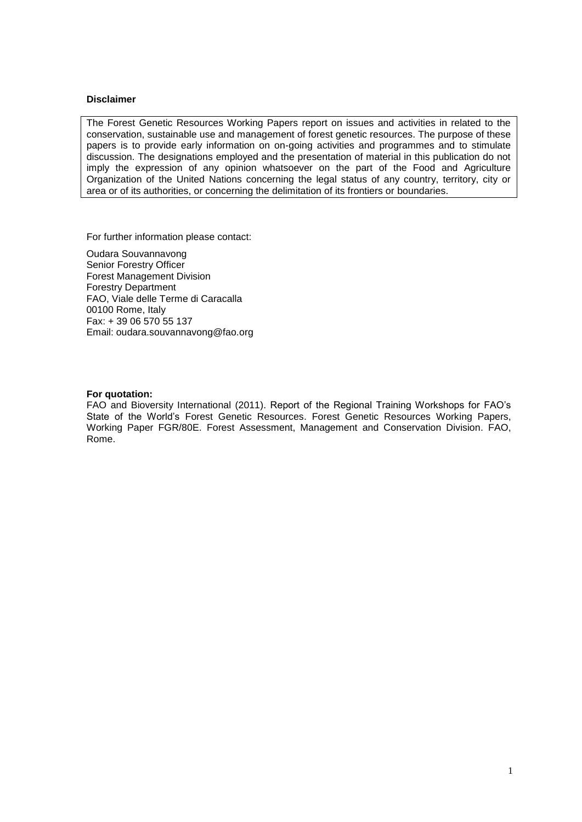#### **Disclaimer**

The Forest Genetic Resources Working Papers report on issues and activities in related to the conservation, sustainable use and management of forest genetic resources. The purpose of these papers is to provide early information on on-going activities and programmes and to stimulate discussion. The designations employed and the presentation of material in this publication do not imply the expression of any opinion whatsoever on the part of the Food and Agriculture Organization of the United Nations concerning the legal status of any country, territory, city or area or of its authorities, or concerning the delimitation of its frontiers or boundaries.

For further information please contact:

Oudara Souvannavong Senior Forestry Officer Forest Management Division Forestry Department FAO, Viale delle Terme di Caracalla 00100 Rome, Italy Fax: + 39 06 570 55 137 Email: oudara.souvannavong@fao.org

#### **For quotation:**

FAO and Bioversity International (2011). Report of the Regional Training Workshops for FAO's State of the World's Forest Genetic Resources. Forest Genetic Resources Working Papers, Working Paper FGR/80E. Forest Assessment, Management and Conservation Division. FAO, Rome.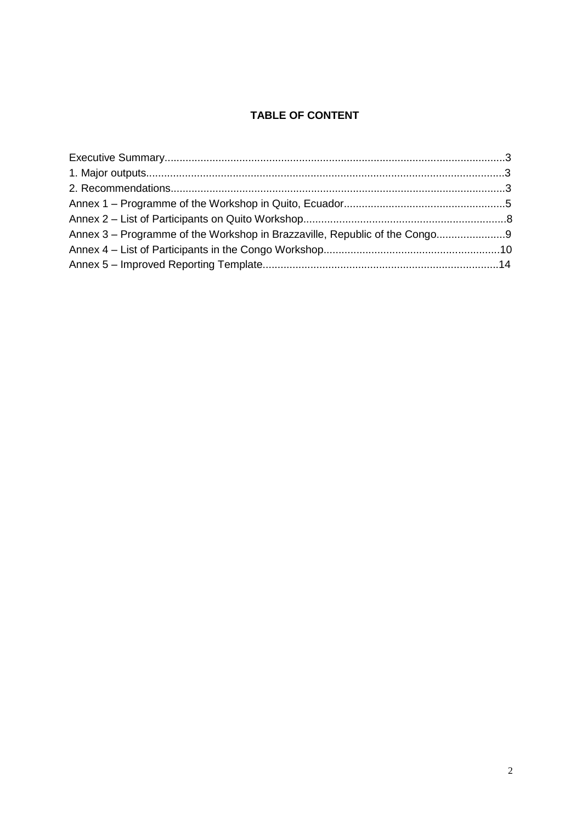# **TABLE OF CONTENT**

| Annex 3 – Programme of the Workshop in Brazzaville, Republic of the Congo |  |
|---------------------------------------------------------------------------|--|
|                                                                           |  |
|                                                                           |  |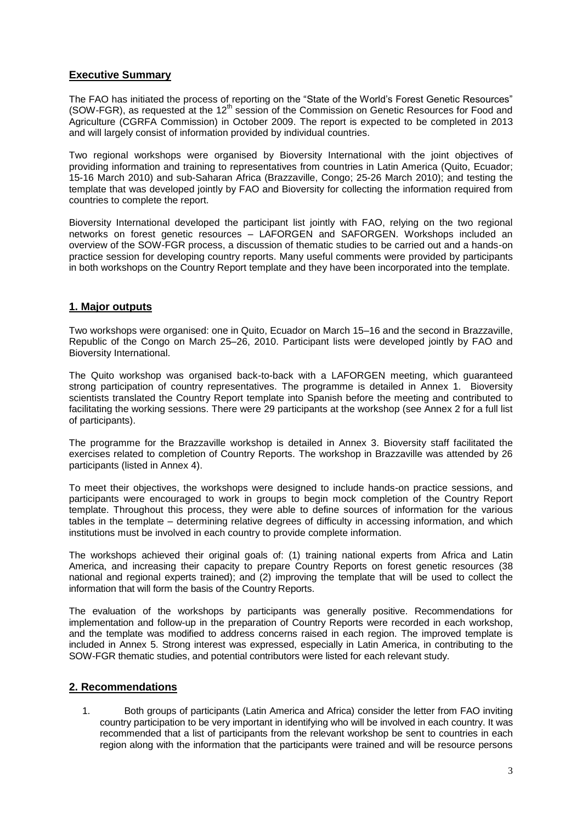# **Executive Summary**

The FAO has initiated the process of reporting on the "State of the World's Forest Genetic Resources" (SOW-FGR), as requested at the  $12<sup>th</sup>$  session of the Commission on Genetic Resources for Food and Agriculture (CGRFA Commission) in October 2009. The report is expected to be completed in 2013 and will largely consist of information provided by individual countries.

Two regional workshops were organised by Bioversity International with the joint objectives of providing information and training to representatives from countries in Latin America (Quito, Ecuador; 15-16 March 2010) and sub-Saharan Africa (Brazzaville, Congo; 25-26 March 2010); and testing the template that was developed jointly by FAO and Bioversity for collecting the information required from countries to complete the report.

Bioversity International developed the participant list jointly with FAO, relying on the two regional networks on forest genetic resources – LAFORGEN and SAFORGEN. Workshops included an overview of the SOW-FGR process, a discussion of thematic studies to be carried out and a hands-on practice session for developing country reports. Many useful comments were provided by participants in both workshops on the Country Report template and they have been incorporated into the template.

# **1. Major outputs**

Two workshops were organised: one in Quito, Ecuador on March 15–16 and the second in Brazzaville, Republic of the Congo on March 25–26, 2010. Participant lists were developed jointly by FAO and Bioversity International.

The Quito workshop was organised back-to-back with a LAFORGEN meeting, which guaranteed strong participation of country representatives. The programme is detailed in Annex 1. Bioversity scientists translated the Country Report template into Spanish before the meeting and contributed to facilitating the working sessions. There were 29 participants at the workshop (see Annex 2 for a full list of participants).

The programme for the Brazzaville workshop is detailed in Annex 3. Bioversity staff facilitated the exercises related to completion of Country Reports. The workshop in Brazzaville was attended by 26 participants (listed in Annex 4).

To meet their objectives, the workshops were designed to include hands-on practice sessions, and participants were encouraged to work in groups to begin mock completion of the Country Report template. Throughout this process, they were able to define sources of information for the various tables in the template – determining relative degrees of difficulty in accessing information, and which institutions must be involved in each country to provide complete information.

The workshops achieved their original goals of: (1) training national experts from Africa and Latin America, and increasing their capacity to prepare Country Reports on forest genetic resources (38 national and regional experts trained); and (2) improving the template that will be used to collect the information that will form the basis of the Country Reports.

The evaluation of the workshops by participants was generally positive. Recommendations for implementation and follow-up in the preparation of Country Reports were recorded in each workshop, and the template was modified to address concerns raised in each region. The improved template is included in Annex 5. Strong interest was expressed, especially in Latin America, in contributing to the SOW-FGR thematic studies, and potential contributors were listed for each relevant study.

# **2. Recommendations**

1. Both groups of participants (Latin America and Africa) consider the letter from FAO inviting country participation to be very important in identifying who will be involved in each country. It was recommended that a list of participants from the relevant workshop be sent to countries in each region along with the information that the participants were trained and will be resource persons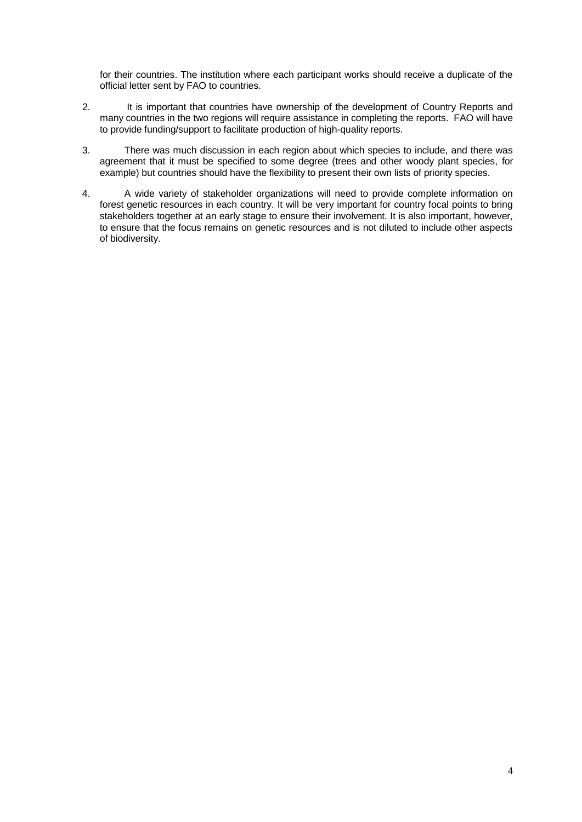for their countries. The institution where each participant works should receive a duplicate of the official letter sent by FAO to countries.

- 2. It is important that countries have ownership of the development of Country Reports and many countries in the two regions will require assistance in completing the reports. FAO will have to provide funding/support to facilitate production of high-quality reports.
- 3. There was much discussion in each region about which species to include, and there was agreement that it must be specified to some degree (trees and other woody plant species, for example) but countries should have the flexibility to present their own lists of priority species.
- 4. A wide variety of stakeholder organizations will need to provide complete information on forest genetic resources in each country. It will be very important for country focal points to bring stakeholders together at an early stage to ensure their involvement. It is also important, however, to ensure that the focus remains on genetic resources and is not diluted to include other aspects of biodiversity.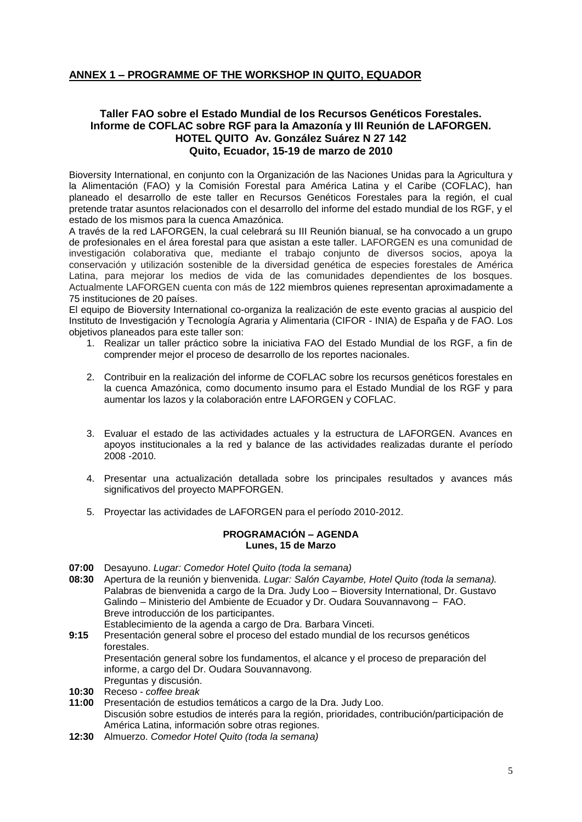# **ANNEX 1 – PROGRAMME OF THE WORKSHOP IN QUITO, EQUADOR**

# **Taller FAO sobre el Estado Mundial de los Recursos Genéticos Forestales. Informe de COFLAC sobre RGF para la Amazonía y III Reunión de LAFORGEN. HOTEL QUITO Av. González Suárez N 27 142 Quito, Ecuador, 15-19 de marzo de 2010**

Bioversity International, en conjunto con la Organización de las Naciones Unidas para la Agricultura y la Alimentación (FAO) y la Comisión Forestal para América Latina y el Caribe (COFLAC), han planeado el desarrollo de este taller en Recursos Genéticos Forestales para la región, el cual pretende tratar asuntos relacionados con el desarrollo del informe del estado mundial de los RGF, y el estado de los mismos para la cuenca Amazónica.

A través de la red LAFORGEN, la cual celebrará su III Reunión bianual, se ha convocado a un grupo de profesionales en el área forestal para que asistan a este taller. LAFORGEN es una comunidad de investigación colaborativa que, mediante el trabajo conjunto de diversos socios, apoya la conservación y utilización sostenible de la diversidad genética de especies forestales de América Latina, para mejorar los medios de vida de las comunidades dependientes de los bosques. Actualmente LAFORGEN cuenta con más de 122 miembros quienes representan aproximadamente a 75 instituciones de 20 países.

El equipo de Bioversity International co-organiza la realización de este evento gracias al auspicio del Instituto de Investigación y Tecnología Agraria y Alimentaria (CIFOR - INIA) de España y de FAO. Los objetivos planeados para este taller son:

- 1. Realizar un taller práctico sobre la iniciativa FAO del Estado Mundial de los RGF, a fin de comprender mejor el proceso de desarrollo de los reportes nacionales.
- 2. Contribuir en la realización del informe de COFLAC sobre los recursos genéticos forestales en la cuenca Amazónica, como documento insumo para el Estado Mundial de los RGF y para aumentar los lazos y la colaboración entre LAFORGEN y COFLAC.
- 3. Evaluar el estado de las actividades actuales y la estructura de LAFORGEN. Avances en apoyos institucionales a la red y balance de las actividades realizadas durante el período 2008 -2010.
- 4. Presentar una actualización detallada sobre los principales resultados y avances más significativos del proyecto MAPFORGEN.
- 5. Proyectar las actividades de LAFORGEN para el período 2010-2012.

#### **PROGRAMACIÓN – AGENDA Lunes, 15 de Marzo**

- **07:00** Desayuno. *Lugar: Comedor Hotel Quito (toda la semana)*
- **08:30** Apertura de la reunión y bienvenida. *Lugar: Salón Cayambe, Hotel Quito (toda la semana).* Palabras de bienvenida a cargo de la Dra. Judy Loo – Bioversity International, Dr. Gustavo Galindo – Ministerio del Ambiente de Ecuador y Dr. Oudara Souvannavong – FAO. Breve introducción de los participantes.
	- Establecimiento de la agenda a cargo de Dra. Barbara Vinceti.
- **9:15** Presentación general sobre el proceso del estado mundial de los recursos genéticos forestales.

Presentación general sobre los fundamentos, el alcance y el proceso de preparación del informe, a cargo del Dr. Oudara Souvannavong.

- Preguntas y discusión. **10:30** Receso - *coffee break*
- **11:00** Presentación de estudios temáticos a cargo de la Dra. Judy Loo. Discusión sobre estudios de interés para la región, prioridades, contribución/participación de
- América Latina, información sobre otras regiones.
- **12:30** Almuerzo. *Comedor Hotel Quito (toda la semana)*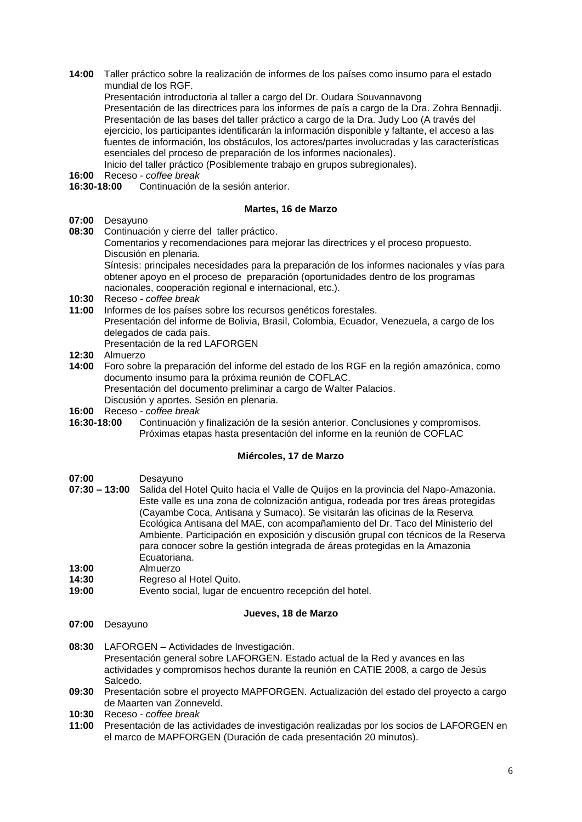**14:00** Taller práctico sobre la realización de informes de los países como insumo para el estado mundial de los RGF.

Presentación introductoria al taller a cargo del Dr. Oudara Souvannavong Presentación de las directrices para los informes de país a cargo de la Dra. Zohra Bennadji. Presentación de las bases del taller práctico a cargo de la Dra. Judy Loo (A través del ejercicio, los participantes identificarán la información disponible y faltante, el acceso a las fuentes de información, los obstáculos, los actores/partes involucradas y las características esenciales del proceso de preparación de los informes nacionales). Inicio del taller práctico (Posiblemente trabajo en grupos subregionales).

- **16:00** Receso *coffee break*
- **16:30-18:00** Continuación de la sesión anterior.

#### **Martes, 16 de Marzo**

- **07:00** Desayuno
- **08:30** Continuación y cierre del taller práctico.
	- Comentarios y recomendaciones para mejorar las directrices y el proceso propuesto. Discusión en plenaria.

Síntesis: principales necesidades para la preparación de los informes nacionales y vías para obtener apoyo en el proceso de preparación (oportunidades dentro de los programas nacionales, cooperación regional e internacional, etc.).

- **10:30** Receso *coffee break*
- **11:00** Informes de los países sobre los recursos genéticos forestales. Presentación del informe de Bolivia, Brasil, Colombia, Ecuador, Venezuela, a cargo de los delegados de cada país. Presentación de la red LAFORGEN
- **12:30** Almuerzo
- **14:00** Foro sobre la preparación del informe del estado de los RGF en la región amazónica, como documento insumo para la próxima reunión de COFLAC. Presentación del documento preliminar a cargo de Walter Palacios. Discusión y aportes. Sesión en plenaria.
- **16:00** Receso *coffee break*
- **16:30-18:00** Continuación y finalización de la sesión anterior. Conclusiones y compromisos. Próximas etapas hasta presentación del informe en la reunión de COFLAC

#### **Miércoles, 17 de Marzo**

- **07:00** Desayuno
- **07:30 – 13:00** Salida del Hotel Quito hacia el Valle de Quijos en la provincia del Napo-Amazonia. Este valle es una zona de colonización antigua, rodeada por tres áreas protegidas (Cayambe Coca, Antisana y Sumaco). Se visitarán las oficinas de la Reserva Ecológica Antisana del MAE, con acompañamiento del Dr. Taco del Ministerio del Ambiente. Participación en exposición y discusión grupal con técnicos de la Reserva para conocer sobre la gestión integrada de áreas protegidas en la Amazonia Ecuatoriana.
- **13:00** Almuerzo
- **14:30** Regreso al Hotel Quito.
- **19:00** Evento social, lugar de encuentro recepción del hotel.

#### **Jueves, 18 de Marzo**

- **07:00** Desayuno
- **08:30** LAFORGEN Actividades de Investigación. Presentación general sobre LAFORGEN. Estado actual de la Red y avances en las actividades y compromisos hechos durante la reunión en CATIE 2008, a cargo de Jesús Salcedo.
- **09:30** Presentación sobre el proyecto MAPFORGEN. Actualización del estado del proyecto a cargo de Maarten van Zonneveld.
- **10:30** Receso *coffee break*
- **11:00** Presentación de las actividades de investigación realizadas por los socios de LAFORGEN en el marco de MAPFORGEN (Duración de cada presentación 20 minutos).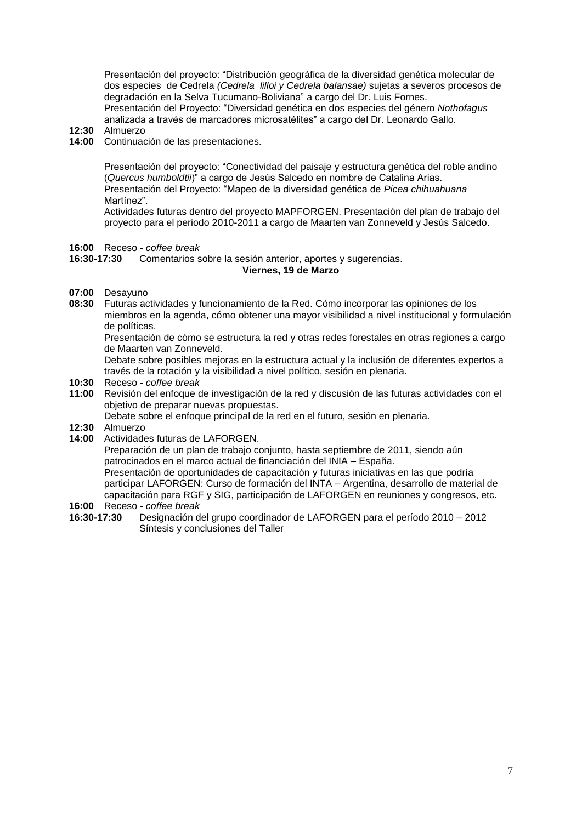Presentación del proyecto: "Distribución geográfica de la diversidad genética molecular de dos especies de Cedrela *(Cedrela lilloi y Cedrela balansae)* sujetas a severos procesos de degradación en la Selva Tucumano-Boliviana" a cargo del Dr. Luis Fornes. Presentación del Proyecto: "Diversidad genética en dos especies del género *Nothofagus* analizada a través de marcadores microsatélites" a cargo del Dr. Leonardo Gallo.

- **12:30** Almuerzo
- **14:00** Continuación de las presentaciones.

Presentación del proyecto: "Conectividad del paisaje y estructura genética del roble andino (*Quercus humboldtii*)" a cargo de Jesús Salcedo en nombre de Catalina Arias. Presentación del Proyecto: "Mapeo de la diversidad genética de *Picea chihuahuana* Martínez".

Actividades futuras dentro del proyecto MAPFORGEN. Presentación del plan de trabajo del proyecto para el periodo 2010-2011 a cargo de Maarten van Zonneveld y Jesús Salcedo.

**16:00** Receso - *coffee break*

#### **16:30-17:30** Comentarios sobre la sesión anterior, aportes y sugerencias.

#### **Viernes, 19 de Marzo**

- **07:00** Desayuno
- **08:30** Futuras actividades y funcionamiento de la Red. Cómo incorporar las opiniones de los miembros en la agenda, cómo obtener una mayor visibilidad a nivel institucional y formulación de políticas.

Presentación de cómo se estructura la red y otras redes forestales en otras regiones a cargo de Maarten van Zonneveld.

Debate sobre posibles mejoras en la estructura actual y la inclusión de diferentes expertos a través de la rotación y la visibilidad a nivel político, sesión en plenaria.

- **10:30** Receso *coffee break*
- **11:00** Revisión del enfoque de investigación de la red y discusión de las futuras actividades con el objetivo de preparar nuevas propuestas.

Debate sobre el enfoque principal de la red en el futuro, sesión en plenaria.

- **12:30** Almuerzo
- **14:00** Actividades futuras de LAFORGEN.

Preparación de un plan de trabajo conjunto, hasta septiembre de 2011, siendo aún patrocinados en el marco actual de financiación del INIA – España.

Presentación de oportunidades de capacitación y futuras iniciativas en las que podría participar LAFORGEN: Curso de formación del INTA – Argentina, desarrollo de material de capacitación para RGF y SIG, participación de LAFORGEN en reuniones y congresos, etc.

- **16:00** Receso *coffee break*
- **16:30-17:30** Designación del grupo coordinador de LAFORGEN para el período 2010 2012 Síntesis y conclusiones del Taller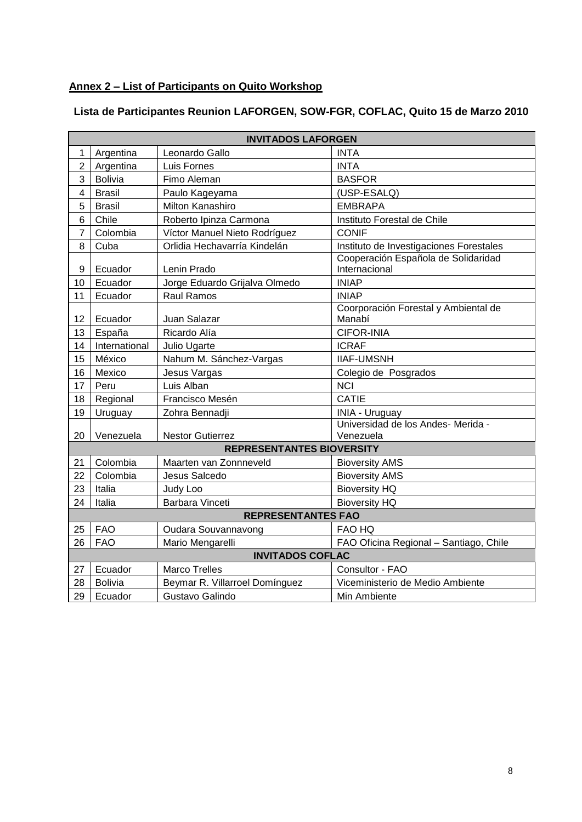# **Annex 2 – List of Participants on Quito Workshop**

| Lista de Participantes Reunion LAFORGEN, SOW-FGR, COFLAC, Quito 15 de Marzo 2010 |  |
|----------------------------------------------------------------------------------|--|
|                                                                                  |  |

|                           | <b>INVITADOS LAFORGEN</b>                   |                                |                                                      |  |
|---------------------------|---------------------------------------------|--------------------------------|------------------------------------------------------|--|
| 1                         | Argentina                                   | Leonardo Gallo                 | <b>INTA</b>                                          |  |
| $\overline{2}$            | Argentina                                   | Luis Fornes                    | <b>INTA</b>                                          |  |
| 3                         | <b>Bolivia</b>                              | Fimo Aleman                    | <b>BASFOR</b>                                        |  |
| 4                         | <b>Brasil</b>                               | Paulo Kageyama                 | (USP-ESALQ)                                          |  |
| 5                         | <b>Brasil</b>                               | Milton Kanashiro               | <b>EMBRAPA</b>                                       |  |
| 6                         | Chile                                       | Roberto Ipinza Carmona         | Instituto Forestal de Chile                          |  |
| $\overline{7}$            | Colombia                                    | Víctor Manuel Nieto Rodríguez  | <b>CONIF</b>                                         |  |
| 8                         | Cuba                                        | Orlidia Hechavarría Kindelán   | Instituto de Investigaciones Forestales              |  |
| 9                         | Ecuador                                     | Lenin Prado                    | Cooperación Española de Solidaridad<br>Internacional |  |
| 10                        | Ecuador                                     | Jorge Eduardo Grijalva Olmedo  | <b>INIAP</b>                                         |  |
| 11                        | Ecuador                                     | <b>Raul Ramos</b>              | <b>INIAP</b>                                         |  |
| 12                        | Ecuador                                     | Juan Salazar                   | Coorporación Forestal y Ambiental de<br>Manabí       |  |
| 13                        | España                                      | Ricardo Alía                   | <b>CIFOR-INIA</b>                                    |  |
| 14                        | International                               | Julio Ugarte                   | <b>ICRAF</b>                                         |  |
| 15                        | México                                      | Nahum M. Sánchez-Vargas        | <b>IIAF-UMSNH</b>                                    |  |
| 16                        | Mexico                                      | Jesus Vargas                   | Colegio de Posgrados                                 |  |
| 17                        | Peru                                        | Luis Alban                     | <b>NCI</b>                                           |  |
| 18                        | <b>CATIE</b><br>Regional<br>Francisco Mesén |                                |                                                      |  |
| 19                        | Uruguay                                     | Zohra Bennadji                 | <b>INIA - Uruguay</b>                                |  |
| 20                        | Venezuela                                   | <b>Nestor Gutierrez</b>        | Universidad de los Andes- Merida -<br>Venezuela      |  |
|                           | <b>REPRESENTANTES BIOVERSITY</b>            |                                |                                                      |  |
| 21                        | Colombia                                    | Maarten van Zonnneveld         | <b>Bioversity AMS</b>                                |  |
| 22                        | Colombia                                    | Jesus Salcedo                  | <b>Bioversity AMS</b>                                |  |
| 23                        | Italia                                      | Judy Loo                       | <b>Bioversity HQ</b>                                 |  |
| 24                        | Italia                                      | Barbara Vinceti                | <b>Bioversity HQ</b>                                 |  |
| <b>REPRESENTANTES FAO</b> |                                             |                                |                                                      |  |
| 25                        | <b>FAO</b>                                  | Oudara Souvannavong            | FAO HQ                                               |  |
| 26                        | <b>FAO</b>                                  | Mario Mengarelli               | FAO Oficina Regional - Santiago, Chile               |  |
|                           |                                             | <b>INVITADOS COFLAC</b>        |                                                      |  |
| 27                        | Ecuador                                     | <b>Marco Trelles</b>           | Consultor - FAO                                      |  |
| 28                        | <b>Bolivia</b>                              | Beymar R. Villarroel Domínguez | Viceministerio de Medio Ambiente                     |  |
| 29                        | Ecuador                                     | Gustavo Galindo                | Min Ambiente                                         |  |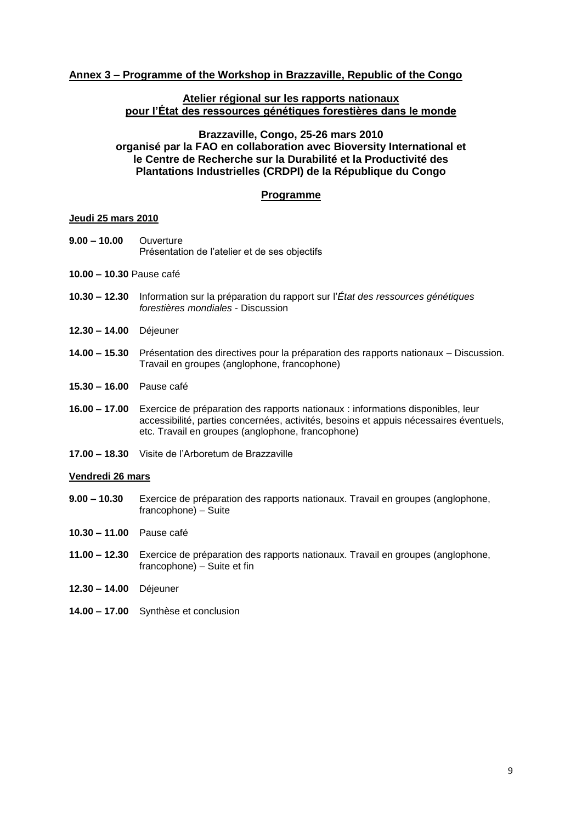## **Annex 3 – Programme of the Workshop in Brazzaville, Republic of the Congo**

#### **Atelier régional sur les rapports nationaux pour l'État des ressources génétiques forestières dans le monde**

#### **Brazzaville, Congo, 25-26 mars 2010**

**organisé par la FAO en collaboration avec Bioversity International et le Centre de Recherche sur la Durabilité et la Productivité des Plantations Industrielles (CRDPI) de la République du Congo** 

## **Programme**

#### **Jeudi 25 mars 2010**

- **9.00 – 10.00** Ouverture Présentation de l'atelier et de ses objectifs
- **10.00 – 10.30** Pause café
- **10.30 – 12.30** Information sur la préparation du rapport sur l'*État des ressources génétiques forestières mondiales* - Discussion
- **12.30 – 14.00** Déjeuner
- **14.00 – 15.30** Présentation des directives pour la préparation des rapports nationaux Discussion. Travail en groupes (anglophone, francophone)
- **15.30 – 16.00** Pause café
- **16.00 – 17.00** Exercice de préparation des rapports nationaux : informations disponibles, leur accessibilité, parties concernées, activités, besoins et appuis nécessaires éventuels, etc. Travail en groupes (anglophone, francophone)
- **17.00 – 18.30** Visite de l'Arboretum de Brazzaville

#### **Vendredi 26 mars**

- **9.00 – 10.30** Exercice de préparation des rapports nationaux. Travail en groupes (anglophone, francophone) – Suite
- **10.30 – 11.00** Pause café
- **11.00 – 12.30** Exercice de préparation des rapports nationaux. Travail en groupes (anglophone, francophone) – Suite et fin
- **12.30 – 14.00** Déjeuner
- **14.00 – 17.00** Synthèse et conclusion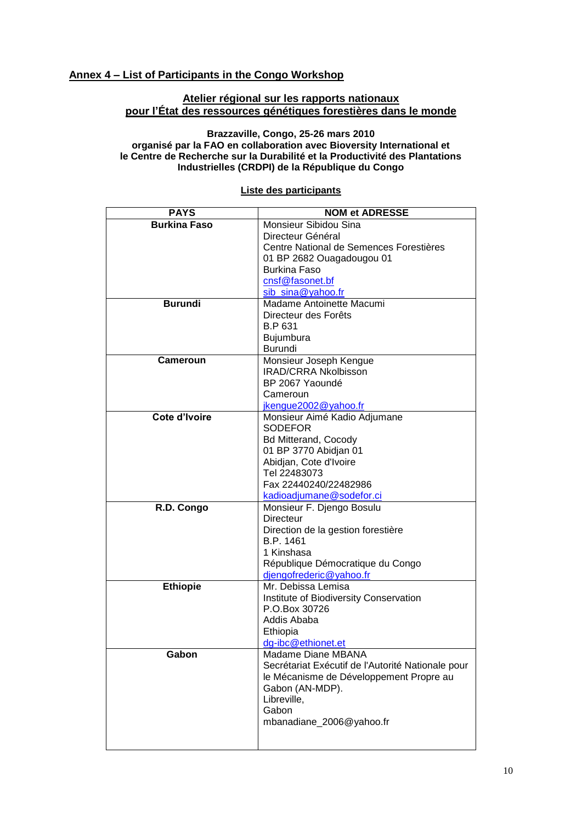# **Annex 4 – List of Participants in the Congo Workshop**

## **Atelier régional sur les rapports nationaux pour l'État des ressources génétiques forestières dans le monde**

#### **Brazzaville, Congo, 25-26 mars 2010 organisé par la FAO en collaboration avec Bioversity International et le Centre de Recherche sur la Durabilité et la Productivité des Plantations Industrielles (CRDPI) de la République du Congo**

| <b>PAYS</b>         | <b>NOM et ADRESSE</b>                                   |
|---------------------|---------------------------------------------------------|
| <b>Burkina Faso</b> | Monsieur Sibidou Sina                                   |
|                     | Directeur Général                                       |
|                     | Centre National de Semences Forestières                 |
|                     | 01 BP 2682 Ouagadougou 01                               |
|                     | <b>Burkina Faso</b>                                     |
|                     | cnsf@fasonet.bf                                         |
|                     | sib_sina@yahoo.fr                                       |
| <b>Burundi</b>      | Madame Antoinette Macumi                                |
|                     | Directeur des Forêts                                    |
|                     | B.P 631                                                 |
|                     | Bujumbura                                               |
|                     | <b>Burundi</b>                                          |
| <b>Cameroun</b>     | Monsieur Joseph Kengue                                  |
|                     | <b>IRAD/CRRA Nkolbisson</b>                             |
|                     | BP 2067 Yaoundé                                         |
|                     | Cameroun                                                |
|                     | jkengue2002@yahoo.fr                                    |
| Cote d'Ivoire       | Monsieur Aimé Kadio Adjumane                            |
|                     | <b>SODEFOR</b>                                          |
|                     | <b>Bd Mitterand, Cocody</b>                             |
|                     | 01 BP 3770 Abidjan 01                                   |
|                     | Abidjan, Cote d'Ivoire                                  |
|                     | Tel 22483073                                            |
|                     | Fax 22440240/22482986                                   |
|                     | kadioadjumane@sodefor.ci                                |
| R.D. Congo          | Monsieur F. Djengo Bosulu                               |
|                     | <b>Directeur</b>                                        |
|                     | Direction de la gestion forestière                      |
|                     | B.P. 1461                                               |
|                     | 1 Kinshasa                                              |
|                     | République Démocratique du Congo                        |
|                     | djengofrederic@yahoo.fr                                 |
| <b>Ethiopie</b>     | Mr. Debissa Lemisa                                      |
|                     | Institute of Biodiversity Conservation<br>P.O.Box 30726 |
|                     | Addis Ababa                                             |
|                     | Ethiopia                                                |
|                     | da-ibc@ethionet.et                                      |
| Gabon               | Madame Diane MBANA                                      |
|                     | Secrétariat Exécutif de l'Autorité Nationale pour       |
|                     | le Mécanisme de Développement Propre au                 |
|                     | Gabon (AN-MDP).                                         |
|                     | Libreville,                                             |
|                     | Gabon                                                   |
|                     | mbanadiane_2006@yahoo.fr                                |
|                     |                                                         |
|                     |                                                         |

# **Liste des participants**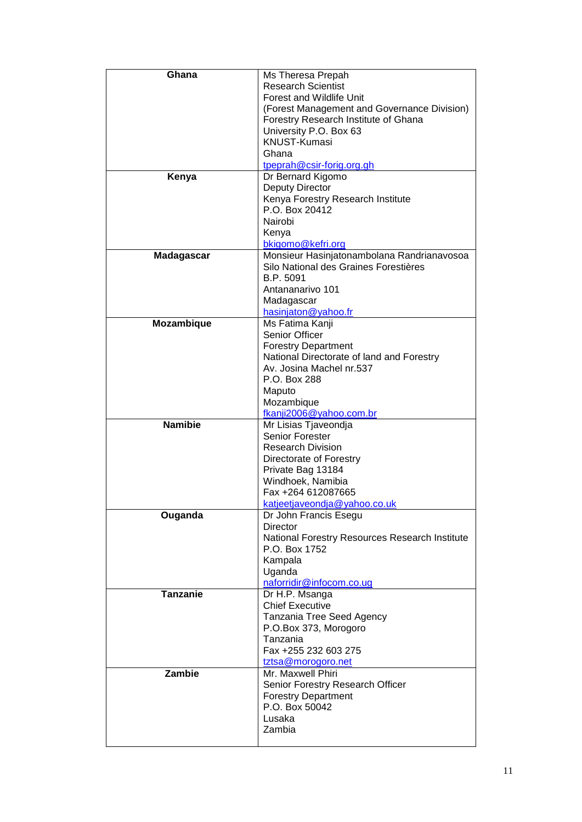| Ghana             | Ms Theresa Prepah                              |
|-------------------|------------------------------------------------|
|                   | <b>Research Scientist</b>                      |
|                   | Forest and Wildlife Unit                       |
|                   | (Forest Management and Governance Division)    |
|                   | Forestry Research Institute of Ghana           |
|                   | University P.O. Box 63                         |
|                   | <b>KNUST-Kumasi</b>                            |
|                   | Ghana                                          |
|                   | tpeprah@csir-forig.org.gh                      |
| Kenya             | Dr Bernard Kigomo                              |
|                   | <b>Deputy Director</b>                         |
|                   | Kenya Forestry Research Institute              |
|                   | P.O. Box 20412                                 |
|                   | Nairobi                                        |
|                   | Kenya                                          |
|                   |                                                |
|                   | bkigomo@kefri.org                              |
| <b>Madagascar</b> | Monsieur Hasinjatonambolana Randrianavosoa     |
|                   | Silo National des Graines Forestières          |
|                   | B.P. 5091                                      |
|                   | Antananarivo 101                               |
|                   | Madagascar                                     |
|                   | hasinjaton@yahoo.fr                            |
| Mozambique        | Ms Fatima Kanji                                |
|                   | <b>Senior Officer</b>                          |
|                   | <b>Forestry Department</b>                     |
|                   | National Directorate of land and Forestry      |
|                   | Av. Josina Machel nr.537                       |
|                   | P.O. Box 288                                   |
|                   | Maputo                                         |
|                   | Mozambique                                     |
|                   | fkanji2006@yahoo.com.br                        |
| <b>Namibie</b>    | Mr Lisias Tjaveondja                           |
|                   | Senior Forester                                |
|                   | <b>Research Division</b>                       |
|                   | Directorate of Forestry                        |
|                   | Private Bag 13184                              |
|                   | Windhoek, Namibia                              |
|                   | Fax +264 612087665                             |
|                   | katjeetjaveondja@yahoo.co.uk                   |
| Ouganda           | Dr John Francis Esegu                          |
|                   | <b>Director</b>                                |
|                   | National Forestry Resources Research Institute |
|                   | P.O. Box 1752                                  |
|                   | Kampala                                        |
|                   | Uganda                                         |
|                   | naforridir@infocom.co.ug                       |
| <b>Tanzanie</b>   | Dr H.P. Msanga                                 |
|                   | <b>Chief Executive</b>                         |
|                   |                                                |
|                   | Tanzania Tree Seed Agency                      |
|                   | P.O.Box 373, Morogoro                          |
|                   | Tanzania                                       |
|                   | Fax +255 232 603 275                           |
|                   | tztsa@morogoro.net                             |
| Zambie            | Mr. Maxwell Phiri                              |
|                   | Senior Forestry Research Officer               |
|                   | <b>Forestry Department</b>                     |
|                   | P.O. Box 50042                                 |
|                   | Lusaka                                         |
|                   | Zambia                                         |
|                   |                                                |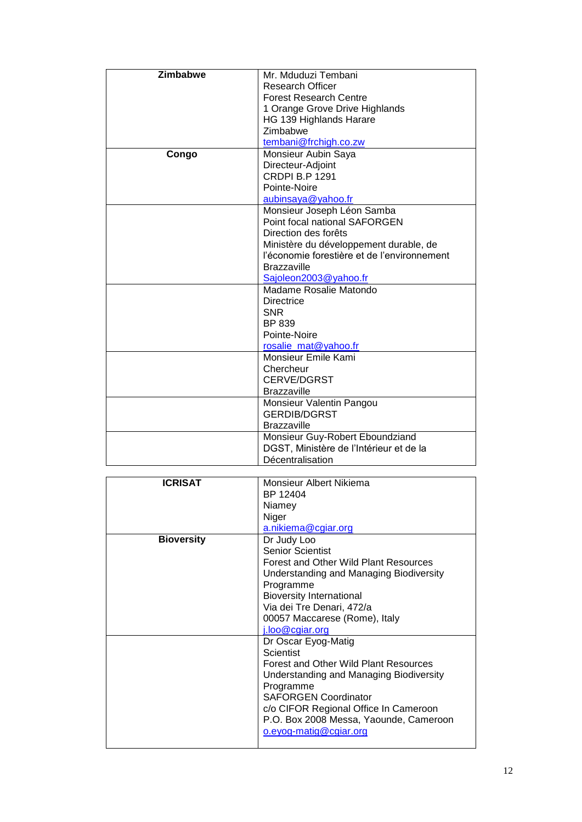| Zimbabwe | Mr. Mduduzi Tembani                         |
|----------|---------------------------------------------|
|          | <b>Research Officer</b>                     |
|          | <b>Forest Research Centre</b>               |
|          | 1 Orange Grove Drive Highlands              |
|          | HG 139 Highlands Harare                     |
|          | Zimbabwe                                    |
|          | tembani@frchigh.co.zw                       |
| Congo    | Monsieur Aubin Saya                         |
|          | Directeur-Adjoint                           |
|          | <b>CRDPI B.P 1291</b>                       |
|          | Pointe-Noire                                |
|          | aubinsaya@yahoo.fr                          |
|          | Monsieur Joseph Léon Samba                  |
|          | Point focal national SAFORGEN               |
|          | Direction des forêts                        |
|          | Ministère du développement durable, de      |
|          | l'économie forestière et de l'environnement |
|          | <b>Brazzaville</b>                          |
|          | Sajoleon2003@yahoo.fr                       |
|          | Madame Rosalie Matondo                      |
|          | <b>Directrice</b>                           |
|          | <b>SNR</b>                                  |
|          | BP 839                                      |
|          | Pointe-Noire                                |
|          | rosalie_mat@yahoo.fr                        |
|          | Monsieur Emile Kami                         |
|          | Chercheur                                   |
|          | <b>CERVE/DGRST</b>                          |
|          | <b>Brazzaville</b>                          |
|          | Monsieur Valentin Pangou                    |
|          | <b>GERDIB/DGRST</b>                         |
|          | <b>Brazzaville</b>                          |
|          | Monsieur Guy-Robert Eboundziand             |
|          | DGST, Ministère de l'Intérieur et de la     |
|          | Décentralisation                            |

| <b>ICRISAT</b>    | Monsieur Albert Nikiema                 |
|-------------------|-----------------------------------------|
|                   | BP 12404                                |
|                   | Niamey                                  |
|                   | Niger                                   |
|                   | a.nikiema@cgiar.org                     |
| <b>Bioversity</b> | Dr Judy Loo                             |
|                   | <b>Senior Scientist</b>                 |
|                   | Forest and Other Wild Plant Resources   |
|                   | Understanding and Managing Biodiversity |
|                   | Programme                               |
|                   | <b>Bioversity International</b>         |
|                   | Via dei Tre Denari, 472/a               |
|                   | 00057 Maccarese (Rome), Italy           |
|                   | i.loo@cgiar.org                         |
|                   | Dr Oscar Eyog-Matig                     |
|                   | Scientist                               |
|                   | Forest and Other Wild Plant Resources   |
|                   | Understanding and Managing Biodiversity |
|                   | Programme                               |
|                   | <b>SAFORGEN Coordinator</b>             |
|                   | c/o CIFOR Regional Office In Cameroon   |
|                   | P.O. Box 2008 Messa, Yaounde, Cameroon  |
|                   | o.eyog-matig@cgiar.org                  |
|                   |                                         |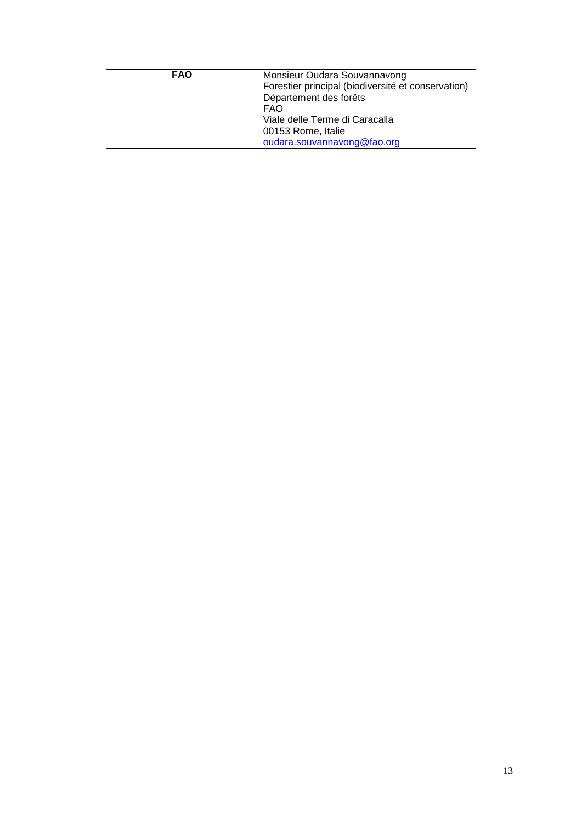| <b>FAO</b> | Monsieur Oudara Souvannavong                       |
|------------|----------------------------------------------------|
|            | Forestier principal (biodiversité et conservation) |
|            | Département des forêts                             |
|            | <b>FAO</b>                                         |
|            | Viale delle Terme di Caracalla                     |
|            | 00153 Rome, Italie                                 |
|            | oudara.souvannavong@fao.org                        |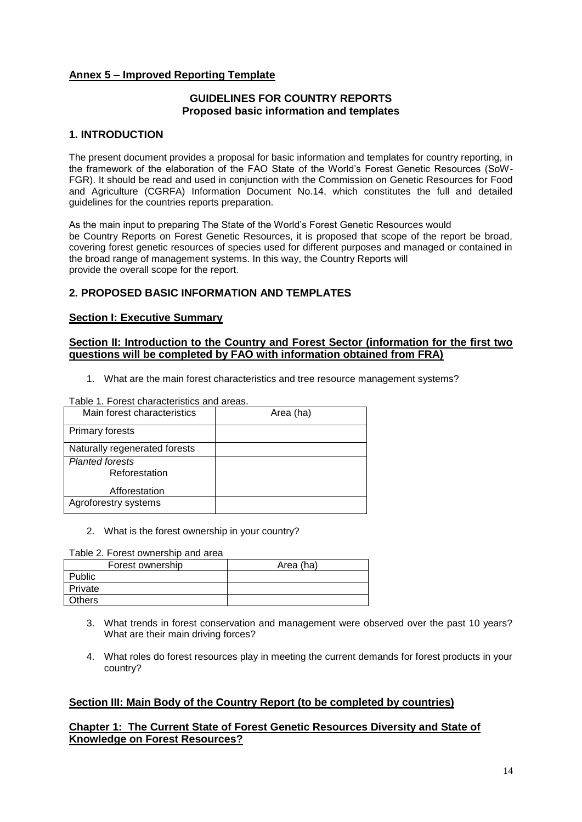# **Annex 5 – Improved Reporting Template**

# **GUIDELINES FOR COUNTRY REPORTS Proposed basic information and templates**

# **1. INTRODUCTION**

The present document provides a proposal for basic information and templates for country reporting, in the framework of the elaboration of the FAO State of the World's Forest Genetic Resources (SoW-FGR). It should be read and used in conjunction with the Commission on Genetic Resources for Food and Agriculture (CGRFA) Information Document No.14, which constitutes the full and detailed guidelines for the countries reports preparation.

As the main input to preparing The State of the World's Forest Genetic Resources would be Country Reports on Forest Genetic Resources, it is proposed that scope of the report be broad, covering forest genetic resources of species used for different purposes and managed or contained in the broad range of management systems. In this way, the Country Reports will provide the overall scope for the report.

# **2. PROPOSED BASIC INFORMATION AND TEMPLATES**

#### **Section I: Executive Summary**

## **Section II: Introduction to the Country and Forest Sector (information for the first two questions will be completed by FAO with information obtained from FRA)**

1. What are the main forest characteristics and tree resource management systems?

Table 1. Forest characteristics and areas.

| Main forest characteristics             | Area (ha) |
|-----------------------------------------|-----------|
| <b>Primary forests</b>                  |           |
| Naturally regenerated forests           |           |
| <b>Planted forests</b><br>Reforestation |           |
| Afforestation                           |           |
| Agroforestry systems                    |           |

#### 2. What is the forest ownership in your country?

Table 2. Forest ownership and area

| Forest ownership | Area (ha) |
|------------------|-----------|
| Public           |           |
| Private          |           |
| <b>Others</b>    |           |

- 3. What trends in forest conservation and management were observed over the past 10 years? What are their main driving forces?
- 4. What roles do forest resources play in meeting the current demands for forest products in your country?

# **Section III: Main Body of the Country Report (to be completed by countries)**

# **Chapter 1: The Current State of Forest Genetic Resources Diversity and State of Knowledge on Forest Resources?**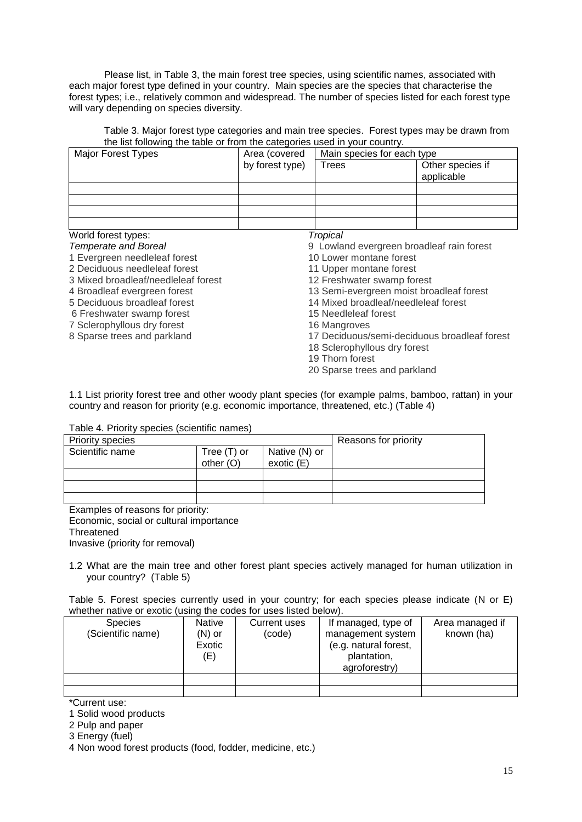Please list, in Table 3, the main forest tree species, using scientific names, associated with each major forest type defined in your country. Main species are the species that characterise the forest types; i.e., relatively common and widespread. The number of species listed for each forest type will vary depending on species diversity.

Table 3. Major forest type categories and main tree species. Forest types may be drawn from the list following the table or from the categories used in your country.

| <b>Major Forest Types</b>           | Area (covered   | Main species for each type                   |                                |  |
|-------------------------------------|-----------------|----------------------------------------------|--------------------------------|--|
|                                     | by forest type) | Trees                                        | Other species if<br>applicable |  |
|                                     |                 |                                              |                                |  |
|                                     |                 |                                              |                                |  |
|                                     |                 |                                              |                                |  |
| World forest types:                 |                 | Tropical                                     |                                |  |
| <b>Temperate and Boreal</b>         |                 | 9 Lowland evergreen broadleaf rain forest    |                                |  |
| 1 Evergreen needleleaf forest       |                 | 10 Lower montane forest                      |                                |  |
| 2 Deciduous needleleaf forest       |                 | 11 Upper montane forest                      |                                |  |
| 3 Mixed broadleaf/needleleaf forest |                 | 12 Freshwater swamp forest                   |                                |  |
| 4 Broadleaf evergreen forest        |                 | 13 Semi-evergreen moist broadleaf forest     |                                |  |
| 5 Deciduous broadleaf forest        |                 | 14 Mixed broadleaf/needleleaf forest         |                                |  |
| 6 Freshwater swamp forest           |                 | 15 Needleleaf forest                         |                                |  |
| 7 Sclerophyllous dry forest         |                 | 16 Mangroves                                 |                                |  |
| 8 Sparse trees and parkland         |                 | 17 Deciduous/semi-deciduous broadleaf forest |                                |  |

- 17 Deciduous/semi-deciduous broadleaf forest
- 18 Sclerophyllous dry forest
- 19 Thorn forest
- 20 Sparse trees and parkland

1.1 List priority forest tree and other woody plant species (for example palms, bamboo, rattan) in your country and reason for priority (e.g. economic importance, threatened, etc.) (Table 4)

#### Table 4. Priority species (scientific names)

| <b>Priority species</b> |             |               | Reasons for priority |
|-------------------------|-------------|---------------|----------------------|
| Scientific name         | Tree (T) or | Native (N) or |                      |
|                         | other $(O)$ | exotic $(E)$  |                      |
|                         |             |               |                      |
|                         |             |               |                      |
|                         |             |               |                      |

Examples of reasons for priority: Economic, social or cultural importance **Threatened** Invasive (priority for removal)

1.2 What are the main tree and other forest plant species actively managed for human utilization in your country? (Table 5)

Table 5. Forest species currently used in your country; for each species please indicate (N or E) whether native or exotic (using the codes for uses listed below).

| <b>Species</b>    | <b>Native</b> | Current uses | If managed, type of   | Area managed if |
|-------------------|---------------|--------------|-----------------------|-----------------|
| (Scientific name) | (N) or        | (code)       | management system     | known (ha)      |
|                   | Exotic        |              | (e.g. natural forest, |                 |
|                   | (E)           |              | plantation,           |                 |
|                   |               |              | agroforestry)         |                 |
|                   |               |              |                       |                 |
|                   |               |              |                       |                 |

\*Current use:

1 Solid wood products

2 Pulp and paper

3 Energy (fuel)

4 Non wood forest products (food, fodder, medicine, etc.)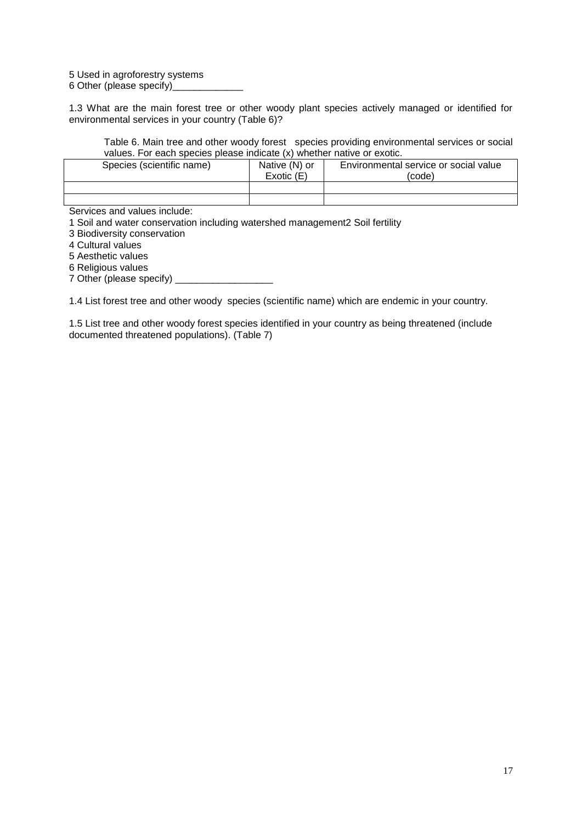5 Used in agroforestry systems

6 Other (please specify)

1.3 What are the main forest tree or other woody plant species actively managed or identified for environmental services in your country (Table 6)?

Table 6. Main tree and other woody forest species providing environmental services or social values. For each species please indicate (x) whether native or exotic.

| Species (scientific name) | Native (N) or<br>Exotic(E) | Environmental service or social value<br>(code) |
|---------------------------|----------------------------|-------------------------------------------------|
|                           |                            |                                                 |
|                           |                            |                                                 |

Services and values include:

1 Soil and water conservation including watershed management2 Soil fertility

3 Biodiversity conservation

4 Cultural values

5 Aesthetic values

6 Religious values

7 Other (please specify) \_\_\_\_\_\_\_\_\_\_\_\_\_\_\_\_\_\_

1.4 List forest tree and other woody species (scientific name) which are endemic in your country.

1.5 List tree and other woody forest species identified in your country as being threatened (include documented threatened populations). (Table 7)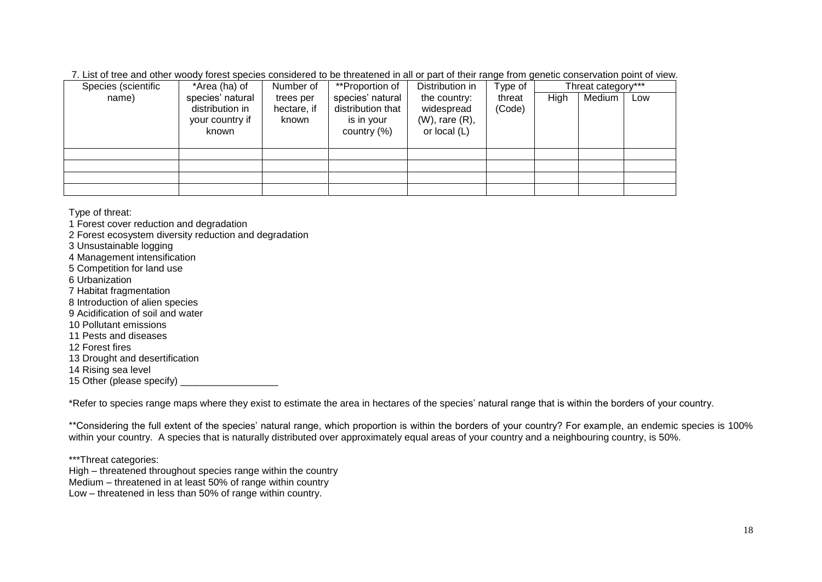7. List of tree and other woody forest species considered to be threatened in all or part of their range from genetic conservation point of view.

| Species (scientific | *Area (ha) of                                                   | Number of                         | **Proportion of                                                       | Distribution in                                                      | Type of          |      | Threat category*** |     |
|---------------------|-----------------------------------------------------------------|-----------------------------------|-----------------------------------------------------------------------|----------------------------------------------------------------------|------------------|------|--------------------|-----|
| name)               | species' natural<br>distribution in<br>your country if<br>known | trees per<br>hectare, if<br>known | species' natural<br>distribution that<br>is in your<br>country $(\%)$ | the country:<br>widespread<br>$(W)$ , rare $(R)$ ,<br>or local $(L)$ | threat<br>(Code) | High | Medium             | Low |
|                     |                                                                 |                                   |                                                                       |                                                                      |                  |      |                    |     |
|                     |                                                                 |                                   |                                                                       |                                                                      |                  |      |                    |     |
|                     |                                                                 |                                   |                                                                       |                                                                      |                  |      |                    |     |
|                     |                                                                 |                                   |                                                                       |                                                                      |                  |      |                    |     |

Type of threat:

1 Forest cover reduction and degradation 2 Forest ecosystem diversity reduction and degradation 3 Unsustainable logging 4 Management intensification 5 Competition for land use 6 Urbanization 7 Habitat fragmentation 8 Introduction of alien species 9 Acidification of soil and water 10 Pollutant emissions 11 Pests and diseases 12 Forest fires 13 Drought and desertification 14 Rising sea level

15 Other (please specify)

\*Refer to species range maps where they exist to estimate the area in hectares of the species' natural range that is within the borders of your country.

\*\*Considering the full extent of the species' natural range, which proportion is within the borders of your country? For example, an endemic species is 100% within your country. A species that is naturally distributed over approximately equal areas of your country and a neighbouring country, is 50%.

\*\*\*Threat categories:

High – threatened throughout species range within the country Medium – threatened in at least 50% of range within country Low – threatened in less than 50% of range within country.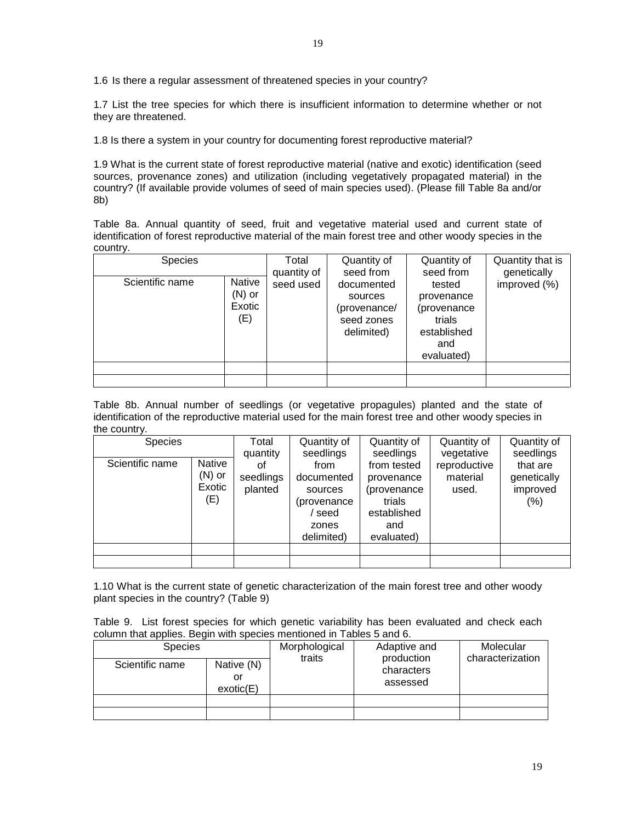1.6 Is there a regular assessment of threatened species in your country?

1.7 List the tree species for which there is insufficient information to determine whether or not they are threatened.

1.8 Is there a system in your country for documenting forest reproductive material?

1.9 What is the current state of forest reproductive material (native and exotic) identification (seed sources, provenance zones) and utilization (including vegetatively propagated material) in the country? (If available provide volumes of seed of main species used). (Please fill Table 8a and/or 8b)

Table 8a. Annual quantity of seed, fruit and vegetative material used and current state of identification of forest reproductive material of the main forest tree and other woody species in the country.

| <b>Species</b>  |                                     | Total<br>quantity of | Quantity of<br>seed from                                          | Quantity of<br>seed from                                                          | Quantity that is<br>genetically |
|-----------------|-------------------------------------|----------------------|-------------------------------------------------------------------|-----------------------------------------------------------------------------------|---------------------------------|
| Scientific name | Native<br>$(N)$ or<br>Exotic<br>(E) | seed used            | documented<br>sources<br>(provenance/<br>seed zones<br>delimited) | tested<br>provenance<br>(provenance<br>trials<br>established<br>and<br>evaluated) | improved (%)                    |
|                 |                                     |                      |                                                                   |                                                                                   |                                 |
|                 |                                     |                      |                                                                   |                                                                                   |                                 |

Table 8b. Annual number of seedlings (or vegetative propagules) planted and the state of identification of the reproductive material used for the main forest tree and other woody species in the country.

| <b>Species</b>  |                                            | Total                                  | Quantity of                                                                              | Quantity of                                                                                         | Quantity of                                     | Quantity of                                                 |
|-----------------|--------------------------------------------|----------------------------------------|------------------------------------------------------------------------------------------|-----------------------------------------------------------------------------------------------------|-------------------------------------------------|-------------------------------------------------------------|
| Scientific name | <b>Native</b><br>$(N)$ or<br>Exotic<br>(E) | quantity<br>οf<br>seedlings<br>planted | seedlings<br>from<br>documented<br>sources<br>(provenance<br>seed<br>zones<br>delimited) | seedlings<br>from tested<br>provenance<br>(provenance<br>trials<br>established<br>and<br>evaluated) | vegetative<br>reproductive<br>material<br>used. | seedlings<br>that are<br>genetically<br>improved<br>$(\% )$ |
|                 |                                            |                                        |                                                                                          |                                                                                                     |                                                 |                                                             |
|                 |                                            |                                        |                                                                                          |                                                                                                     |                                                 |                                                             |

1.10 What is the current state of genetic characterization of the main forest tree and other woody plant species in the country? (Table 9)

Table 9. List forest species for which genetic variability has been evaluated and check each column that applies. Begin with species mentioned in Tables 5 and 6.

| <b>Species</b>  |                               | Morphological<br>traits | Adaptive and<br>production | Molecular<br>characterization |
|-----------------|-------------------------------|-------------------------|----------------------------|-------------------------------|
| Scientific name | Native (N)<br>or<br>exotic(E) |                         | characters<br>assessed     |                               |
|                 |                               |                         |                            |                               |
|                 |                               |                         |                            |                               |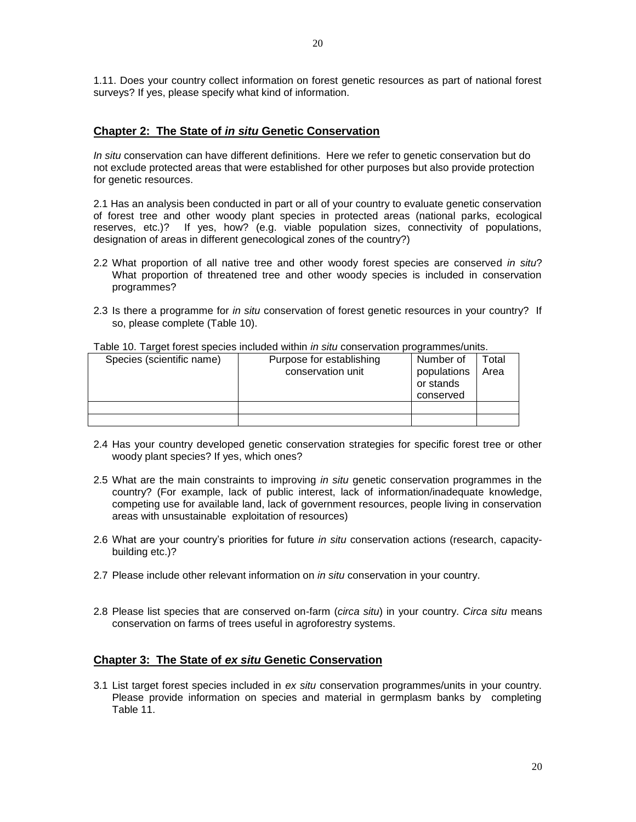1.11. Does your country collect information on forest genetic resources as part of national forest surveys? If yes, please specify what kind of information.

#### **Chapter 2: The State of** *in situ* **Genetic Conservation**

*In situ* conservation can have different definitions. Here we refer to genetic conservation but do not exclude protected areas that were established for other purposes but also provide protection for genetic resources.

2.1 Has an analysis been conducted in part or all of your country to evaluate genetic conservation of forest tree and other woody plant species in protected areas (national parks, ecological reserves, etc.)? If yes, how? (e.g. viable population sizes, connectivity of populations, designation of areas in different genecological zones of the country?)

- 2.2 What proportion of all native tree and other woody forest species are conserved *in situ*? What proportion of threatened tree and other woody species is included in conservation programmes?
- 2.3 Is there a programme for *in situ* conservation of forest genetic resources in your country? If so, please complete (Table 10).

| Species (scientific name) | Purpose for establishing<br>conservation unit | Number of<br>populations<br>or stands<br>conserved | Total<br>Area |
|---------------------------|-----------------------------------------------|----------------------------------------------------|---------------|
|                           |                                               |                                                    |               |
|                           |                                               |                                                    |               |

Table 10. Target forest species included within *in situ* conservation programmes/units.

- 2.4 Has your country developed genetic conservation strategies for specific forest tree or other woody plant species? If yes, which ones?
- 2.5 What are the main constraints to improving *in situ* genetic conservation programmes in the country? (For example, lack of public interest, lack of information/inadequate knowledge, competing use for available land, lack of government resources, people living in conservation areas with unsustainable exploitation of resources)
- 2.6 What are your country's priorities for future *in situ* conservation actions (research, capacitybuilding etc.)?
- 2.7 Please include other relevant information on *in situ* conservation in your country.
- 2.8 Please list species that are conserved on-farm (*circa situ*) in your country. *Circa situ* means conservation on farms of trees useful in agroforestry systems.

#### **Chapter 3: The State of** *ex situ* **Genetic Conservation**

3.1 List target forest species included in *ex situ* conservation programmes/units in your country. Please provide information on species and material in germplasm banks by completing Table 11.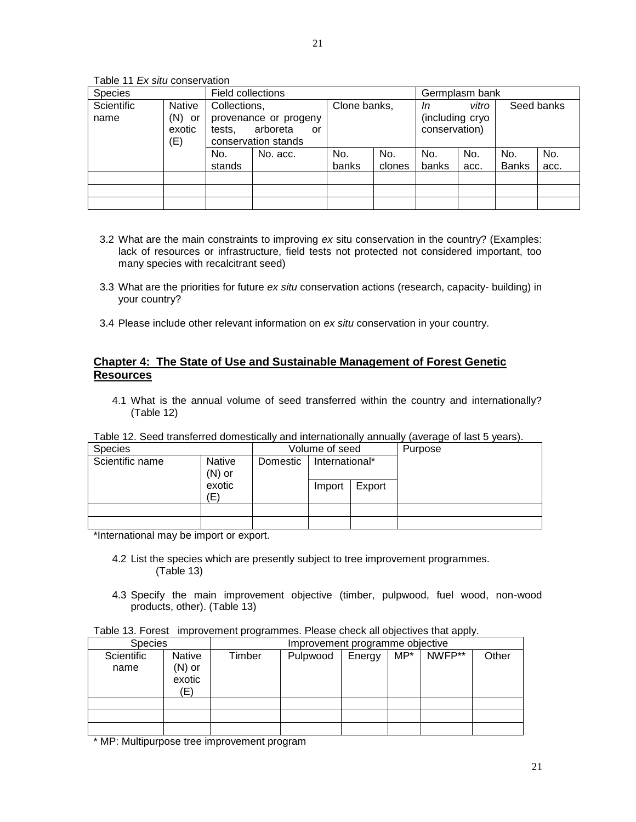Table 11 *Ex situ* conservation

| <b>Species</b>     |                                         | Field collections                                                                        |          |              |               | Germplasm bank                         |             |                     |             |
|--------------------|-----------------------------------------|------------------------------------------------------------------------------------------|----------|--------------|---------------|----------------------------------------|-------------|---------------------|-------------|
| Scientific<br>name | <b>Native</b><br>(N) or<br>exotic<br>E) | Collections,<br>provenance or progeny<br>arboreta<br>tests.<br>or<br>conservation stands |          | Clone banks, |               | In<br>(including cryo<br>conservation) | vitro       |                     | Seed banks  |
|                    |                                         | No.<br>stands                                                                            | No. acc. | No.<br>banks | No.<br>clones | No.<br>banks                           | No.<br>acc. | No.<br><b>Banks</b> | No.<br>acc. |
|                    |                                         |                                                                                          |          |              |               |                                        |             |                     |             |
|                    |                                         |                                                                                          |          |              |               |                                        |             |                     |             |
|                    |                                         |                                                                                          |          |              |               |                                        |             |                     |             |

- 3.2 What are the main constraints to improving *ex* situ conservation in the country? (Examples: lack of resources or infrastructure, field tests not protected not considered important, too many species with recalcitrant seed)
- 3.3 What are the priorities for future *ex situ* conservation actions (research, capacity- building) in your country?
- 3.4 Please include other relevant information on *ex situ* conservation in your country.

# **Chapter 4: The State of Use and Sustainable Management of Forest Genetic Resources**

4.1 What is the annual volume of seed transferred within the country and internationally? (Table 12)

| i abio 12. Oood tidrigioriod aoniootiodii) dria intoniationally annadii) |                    |                            |        |         |  |
|--------------------------------------------------------------------------|--------------------|----------------------------|--------|---------|--|
| <b>Species</b>                                                           | Volume of seed     |                            |        | Purpose |  |
| Scientific name                                                          | Native<br>$(N)$ or | International*<br>Domestic |        |         |  |
|                                                                          | exotic<br>(E)      |                            | Import | Export  |  |
|                                                                          |                    |                            |        |         |  |
|                                                                          |                    |                            |        |         |  |
|                                                                          |                    |                            |        |         |  |

Table 12. Seed transferred domestically and internationally annually (average of last 5 years).

\*International may be import or export.

- 4.2 List the species which are presently subject to tree improvement programmes. (Table 13)
- 4.3 Specify the main improvement objective (timber, pulpwood, fuel wood, non-wood products, other). (Table 13)

| <b>Species</b>     |                                            | Improvement programme objective |          |        |     |        |       |
|--------------------|--------------------------------------------|---------------------------------|----------|--------|-----|--------|-------|
| Scientific<br>name | <b>Native</b><br>$(N)$ or<br>exotic<br>(E) | Timber                          | Pulpwood | Energy | MP* | NWFP** | Other |
|                    |                                            |                                 |          |        |     |        |       |
|                    |                                            |                                 |          |        |     |        |       |
|                    |                                            |                                 |          |        |     |        |       |

\* MP: Multipurpose tree improvement program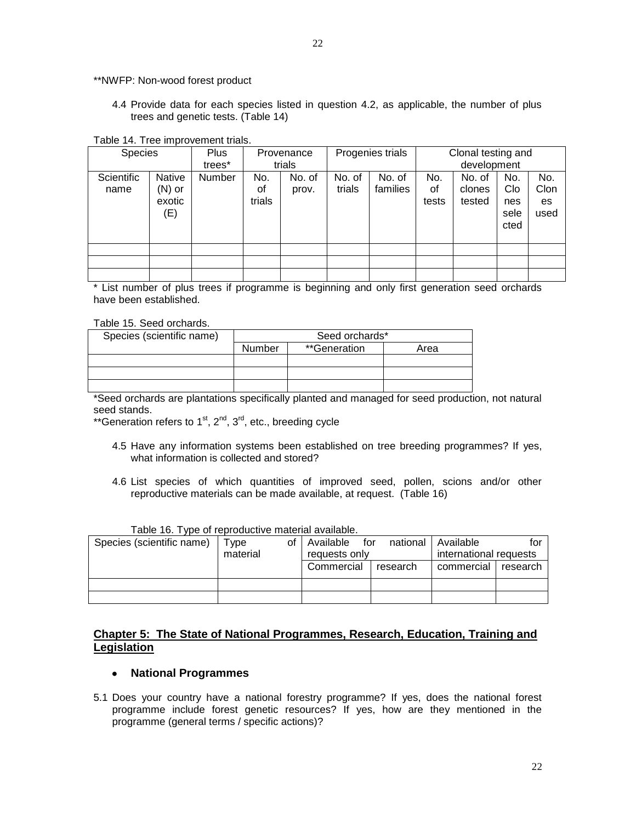\*\*NWFP: Non-wood forest product

4.4 Provide data for each species listed in question 4.2, as applicable, the number of plus trees and genetic tests. (Table 14)

#### Table 14. Tree improvement trials.

| <b>Species</b>     |                                            | <b>Plus</b> |                     | Provenance      |                  | Progenies trials   |                    | Clonal testing and         |                                   |                           |
|--------------------|--------------------------------------------|-------------|---------------------|-----------------|------------------|--------------------|--------------------|----------------------------|-----------------------------------|---------------------------|
|                    |                                            | trees*      |                     | trials          |                  |                    |                    | development                |                                   |                           |
| Scientific<br>name | <b>Native</b><br>$(N)$ or<br>exotic<br>(E) | Number      | No.<br>οf<br>trials | No. of<br>prov. | No. of<br>trials | No. of<br>families | No.<br>οf<br>tests | No. of<br>clones<br>tested | No.<br>Clo<br>nes<br>sele<br>cted | No.<br>Clon<br>es<br>used |
|                    |                                            |             |                     |                 |                  |                    |                    |                            |                                   |                           |
|                    |                                            |             |                     |                 |                  |                    |                    |                            |                                   |                           |
|                    |                                            |             |                     |                 |                  |                    |                    |                            |                                   |                           |

\* List number of plus trees if programme is beginning and only first generation seed orchards have been established.

#### Table 15. Seed orchards.

| Species (scientific name) | Seed orchards* |              |      |
|---------------------------|----------------|--------------|------|
|                           | Number         | **Generation | Area |
|                           |                |              |      |
|                           |                |              |      |
|                           |                |              |      |

\*Seed orchards are plantations specifically planted and managed for seed production, not natural seed stands.

\*\*Generation refers to  $1<sup>st</sup>$ ,  $2<sup>nd</sup>$ ,  $3<sup>rd</sup>$ , etc., breeding cycle

- 4.5 Have any information systems been established on tree breeding programmes? If yes, what information is collected and stored?
- 4.6 List species of which quantities of improved seed, pollen, scions and/or other reproductive materials can be made available, at request. (Table 16)

| Table TV. TWC OF IGDIOGRAPHY THAIGHAI AVAIIADIG. |           |                    |          |                        |              |
|--------------------------------------------------|-----------|--------------------|----------|------------------------|--------------|
| Species (scientific name)                        | vpe<br>оt | l Available<br>for | national | l Available            | tor          |
|                                                  | material  | requests only      |          | international requests |              |
|                                                  |           | Commercial         | research | commercial             | ' I research |
|                                                  |           |                    |          |                        |              |
|                                                  |           |                    |          |                        |              |

#### Table 16. Type of reproductive material available.

# **Chapter 5: The State of National Programmes, Research, Education, Training and Legislation**

#### **National Programmes**

5.1 Does your country have a national forestry programme? If yes, does the national forest programme include forest genetic resources? If yes, how are they mentioned in the programme (general terms / specific actions)?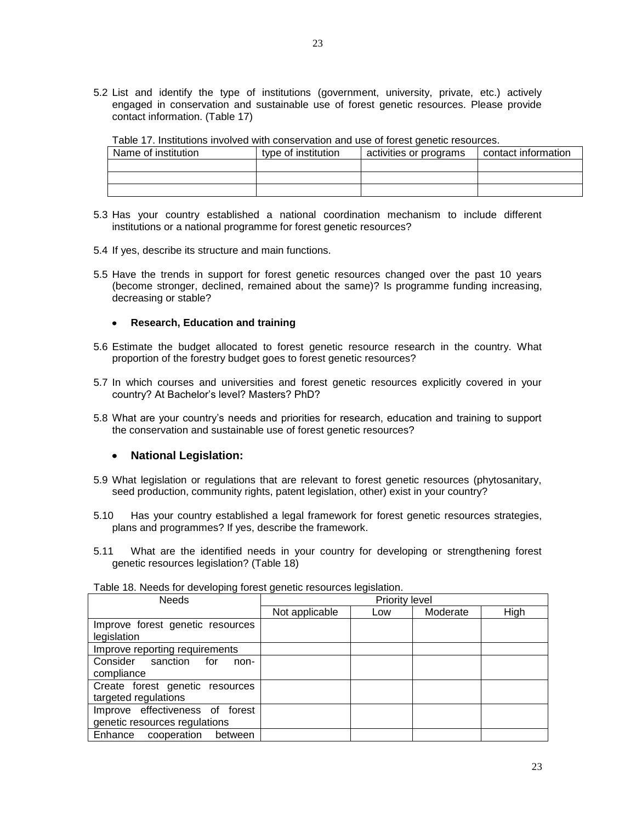5.2 List and identify the type of institutions (government, university, private, etc.) actively engaged in conservation and sustainable use of forest genetic resources. Please provide contact information. (Table 17)

| Table TT. MSututions involved with conservation and use of forest genetic resources. |                     |                        |                     |  |  |  |
|--------------------------------------------------------------------------------------|---------------------|------------------------|---------------------|--|--|--|
| Name of institution                                                                  | type of institution | activities or programs | contact information |  |  |  |
|                                                                                      |                     |                        |                     |  |  |  |
|                                                                                      |                     |                        |                     |  |  |  |
|                                                                                      |                     |                        |                     |  |  |  |

- Table 17. Institutions involved with conservation and use of forest genetic resources.
- 5.3 Has your country established a national coordination mechanism to include different institutions or a national programme for forest genetic resources?
- 5.4 If yes, describe its structure and main functions.
- 5.5 Have the trends in support for forest genetic resources changed over the past 10 years (become stronger, declined, remained about the same)? Is programme funding increasing, decreasing or stable?

#### **Research, Education and training**

- 5.6 Estimate the budget allocated to forest genetic resource research in the country. What proportion of the forestry budget goes to forest genetic resources?
- 5.7 In which courses and universities and forest genetic resources explicitly covered in your country? At Bachelor's level? Masters? PhD?
- 5.8 What are your country's needs and priorities for research, education and training to support the conservation and sustainable use of forest genetic resources?

#### **National Legislation:**

- 5.9 What legislation or regulations that are relevant to forest genetic resources (phytosanitary, seed production, community rights, patent legislation, other) exist in your country?
- 5.10 Has your country established a legal framework for forest genetic resources strategies, plans and programmes? If yes, describe the framework.
- 5.11 What are the identified needs in your country for developing or strengthening forest genetic resources legislation? (Table 18)

| <b>Needs</b>                     |                | <b>Priority level</b> |          |      |
|----------------------------------|----------------|-----------------------|----------|------|
|                                  | Not applicable | Low                   | Moderate | High |
| Improve forest genetic resources |                |                       |          |      |
| legislation                      |                |                       |          |      |
| Improve reporting requirements   |                |                       |          |      |
| Consider sanction for<br>non-    |                |                       |          |      |
| compliance                       |                |                       |          |      |
| Create forest genetic resources  |                |                       |          |      |
| targeted regulations             |                |                       |          |      |
| Improve effectiveness of forest  |                |                       |          |      |
| genetic resources regulations    |                |                       |          |      |
| Enhance cooperation<br>between   |                |                       |          |      |

Table 18. Needs for developing forest genetic resources legislation.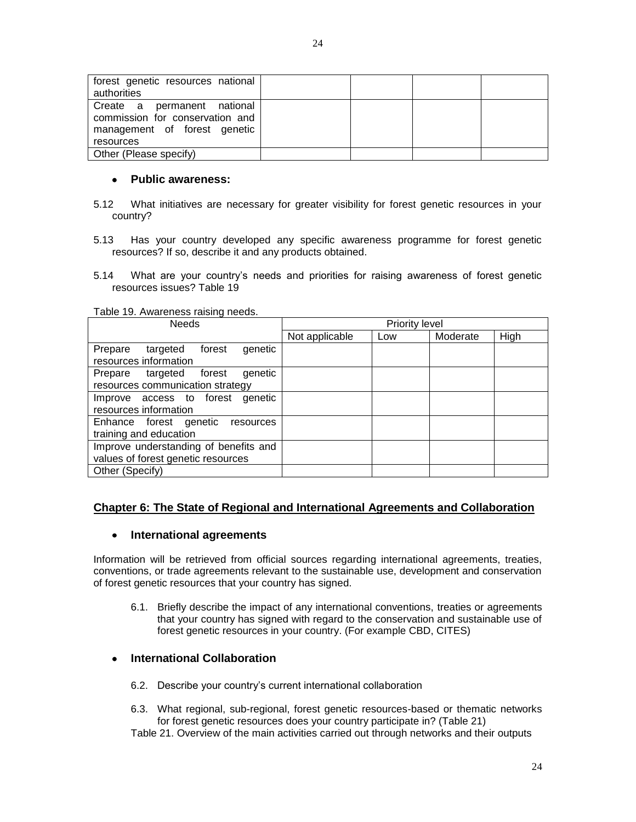#### $\bullet$ **Public awareness:**

- 5.12 What initiatives are necessary for greater visibility for forest genetic resources in your country?
- 5.13 Has your country developed any specific awareness programme for forest genetic resources? If so, describe it and any products obtained.
- 5.14 What are your country's needs and priorities for raising awareness of forest genetic resources issues? Table 19

#### Table 19. Awareness raising needs.

| <b>Needs</b>                                                   | <b>Priority level</b> |     |          |      |
|----------------------------------------------------------------|-----------------------|-----|----------|------|
|                                                                | Not applicable        | Low | Moderate | High |
| forest<br>Prepare targeted<br>genetic<br>resources information |                       |     |          |      |
|                                                                |                       |     |          |      |
| genetic<br>Prepare targeted<br>forest                          |                       |     |          |      |
| resources communication strategy                               |                       |     |          |      |
| Improve access to forest<br>qenetic                            |                       |     |          |      |
| resources information                                          |                       |     |          |      |
| Enhance forest genetic resources<br>training and education     |                       |     |          |      |
| Improve understanding of benefits and                          |                       |     |          |      |
| values of forest genetic resources                             |                       |     |          |      |
| Other (Specify)                                                |                       |     |          |      |

# **Chapter 6: The State of Regional and International Agreements and Collaboration**

#### **International agreements**  $\bullet$

Information will be retrieved from official sources regarding international agreements, treaties, conventions, or trade agreements relevant to the sustainable use, development and conservation of forest genetic resources that your country has signed.

6.1. Briefly describe the impact of any international conventions, treaties or agreements that your country has signed with regard to the conservation and sustainable use of forest genetic resources in your country. (For example CBD, CITES)

#### **International Collaboration**

- 6.2. Describe your country's current international collaboration
- 6.3. What regional, sub-regional, forest genetic resources-based or thematic networks for forest genetic resources does your country participate in? (Table 21)

Table 21. Overview of the main activities carried out through networks and their outputs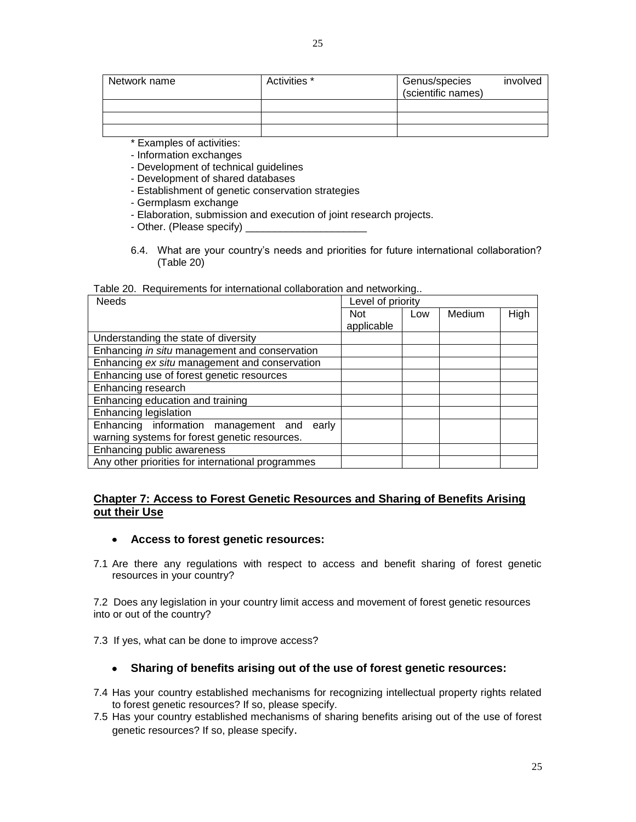\* Examples of activities:

- Information exchanges

- Development of technical guidelines

- Development of shared databases
- Establishment of genetic conservation strategies
- Germplasm exchange
- Elaboration, submission and execution of joint research projects.
- Other. (Please specify)
- 6.4. What are your country's needs and priorities for future international collaboration? (Table 20)

| Table 20. Requirements for international collaboration and networking |
|-----------------------------------------------------------------------|
|-----------------------------------------------------------------------|

| <b>Needs</b>                                      | Level of priority |     |        |      |
|---------------------------------------------------|-------------------|-----|--------|------|
|                                                   | <b>Not</b>        | Low | Medium | High |
|                                                   | applicable        |     |        |      |
| Understanding the state of diversity              |                   |     |        |      |
| Enhancing in situ management and conservation     |                   |     |        |      |
| Enhancing ex situ management and conservation     |                   |     |        |      |
| Enhancing use of forest genetic resources         |                   |     |        |      |
| Enhancing research                                |                   |     |        |      |
| Enhancing education and training                  |                   |     |        |      |
| Enhancing legislation                             |                   |     |        |      |
| Enhancing information management and<br>earlv     |                   |     |        |      |
| warning systems for forest genetic resources.     |                   |     |        |      |
| Enhancing public awareness                        |                   |     |        |      |
| Any other priorities for international programmes |                   |     |        |      |

# **Chapter 7: Access to Forest Genetic Resources and Sharing of Benefits Arising out their Use**

- **Access to forest genetic resources:**
- 7.1 Are there any regulations with respect to access and benefit sharing of forest genetic resources in your country?

7.2 Does any legislation in your country limit access and movement of forest genetic resources into or out of the country?

7.3 If yes, what can be done to improve access?

#### **Sharing of benefits arising out of the use of forest genetic resources:**

- 7.4 Has your country established mechanisms for recognizing intellectual property rights related to forest genetic resources? If so, please specify.
- 7.5 Has your country established mechanisms of sharing benefits arising out of the use of forest genetic resources? If so, please specify.